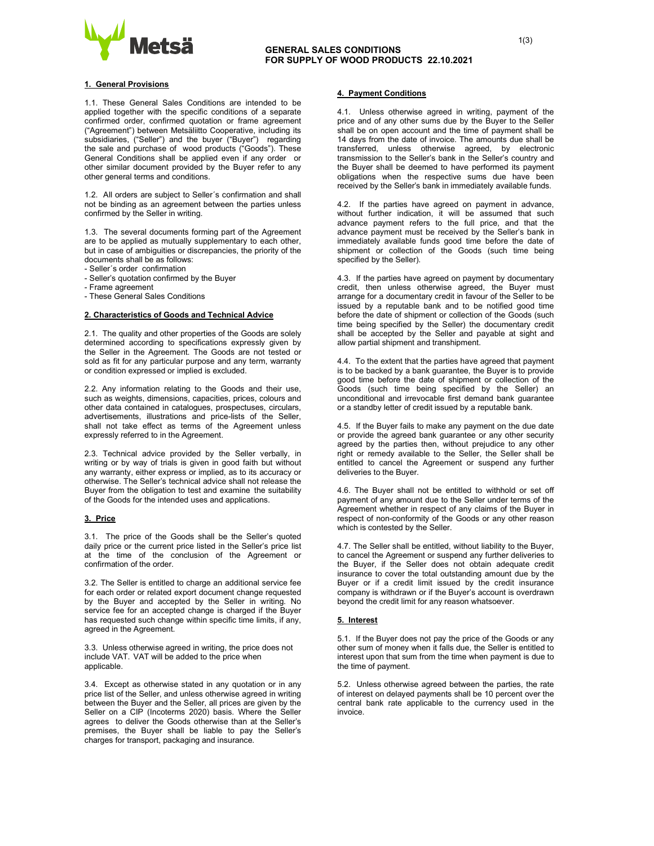

### 1. General Provisions

1.1. These General Sales Conditions are intended to be applied together with the specific conditions of a separate confirmed order, confirmed quotation or frame agreement ("Agreement") between Metsäliitto Cooperative, including its subsidiaries, ("Seller") and the buyer ("Buyer") regarding the sale and purchase of wood products ("Goods"). These General Conditions shall be applied even if any order or other similar document provided by the Buyer refer to any other general terms and conditions.

1.2. All orders are subject to Seller´s confirmation and shall not be binding as an agreement between the parties unless confirmed by the Seller in writing.

1.3. The several documents forming part of the Agreement are to be applied as mutually supplementary to each other, but in case of ambiguities or discrepancies, the priority of the documents shall be as follows:

- Seller´s order confirmation
- Seller's quotation confirmed by the Buyer
- Frame agreement
- These General Sales Conditions

### 2. Characteristics of Goods and Technical Advice

2.1. The quality and other properties of the Goods are solely determined according to specifications expressly given by the Seller in the Agreement. The Goods are not tested or sold as fit for any particular purpose and any term, warranty or condition expressed or implied is excluded.

2.2. Any information relating to the Goods and their use, such as weights, dimensions, capacities, prices, colours and other data contained in catalogues, prospectuses, circulars, advertisements, illustrations and price-lists of the Seller, shall not take effect as terms of the Agreement unless expressly referred to in the Agreement.

2.3. Technical advice provided by the Seller verbally, in writing or by way of trials is given in good faith but without any warranty, either express or implied, as to its accuracy or otherwise. The Seller's technical advice shall not release the Buyer from the obligation to test and examine the suitability of the Goods for the intended uses and applications.

#### 3. Price

3.1. The price of the Goods shall be the Seller's quoted daily price or the current price listed in the Seller's price list at the time of the conclusion of the Agreement or confirmation of the order.

3.2. The Seller is entitled to charge an additional service fee for each order or related export document change requested by the Buyer and accepted by the Seller in writing. No service fee for an accepted change is charged if the Buyer has requested such change within specific time limits, if any, agreed in the Agreement.

3.3. Unless otherwise agreed in writing, the price does not include VAT. VAT will be added to the price when applicable.

3.4. Except as otherwise stated in any quotation or in any price list of the Seller, and unless otherwise agreed in writing between the Buyer and the Seller, all prices are given by the Seller on a CIP (Incoterms 2020) basis. Where the Seller agrees to deliver the Goods otherwise than at the Seller's premises, the Buyer shall be liable to pay the Seller's charges for transport, packaging and insurance.

## 4. Payment Conditions

4.1. Unless otherwise agreed in writing, payment of the price and of any other sums due by the Buyer to the Seller shall be on open account and the time of payment shall be 14 days from the date of invoice. The amounts due shall be transferred, unless otherwise agreed, by electronic transmission to the Seller's bank in the Seller's country and the Buyer shall be deemed to have performed its payment obligations when the respective sums due have been received by the Seller's bank in immediately available funds.

4.2. If the parties have agreed on payment in advance, without further indication, it will be assumed that such advance payment refers to the full price, and that the advance payment must be received by the Seller's bank in immediately available funds good time before the date of shipment or collection of the Goods (such time being specified by the Seller).

4.3. If the parties have agreed on payment by documentary credit, then unless otherwise agreed, the Buyer must arrange for a documentary credit in favour of the Seller to be issued by a reputable bank and to be notified good time before the date of shipment or collection of the Goods (such time being specified by the Seller) the documentary credit shall be accepted by the Seller and payable at sight and allow partial shipment and transhipment.

4.4. To the extent that the parties have agreed that payment is to be backed by a bank guarantee, the Buyer is to provide good time before the date of shipment or collection of the Goods (such time being specified by the Seller) an unconditional and irrevocable first demand bank guarantee or a standby letter of credit issued by a reputable bank.

4.5. If the Buyer fails to make any payment on the due date or provide the agreed bank guarantee or any other security agreed by the parties then, without prejudice to any other right or remedy available to the Seller, the Seller shall be entitled to cancel the Agreement or suspend any further deliveries to the Buyer.

4.6. The Buyer shall not be entitled to withhold or set off payment of any amount due to the Seller under terms of the Agreement whether in respect of any claims of the Buyer in respect of non-conformity of the Goods or any other reason which is contested by the Seller.

4.7. The Seller shall be entitled, without liability to the Buyer, to cancel the Agreement or suspend any further deliveries to the Buyer, if the Seller does not obtain adequate credit insurance to cover the total outstanding amount due by the Buyer or if a credit limit issued by the credit insurance company is withdrawn or if the Buyer's account is overdrawn beyond the credit limit for any reason whatsoever.

#### 5. Interest

5.1. If the Buyer does not pay the price of the Goods or any other sum of money when it falls due, the Seller is entitled to interest upon that sum from the time when payment is due to the time of payment.

5.2. Unless otherwise agreed between the parties, the rate of interest on delayed payments shall be 10 percent over the central bank rate applicable to the currency used in the invoice.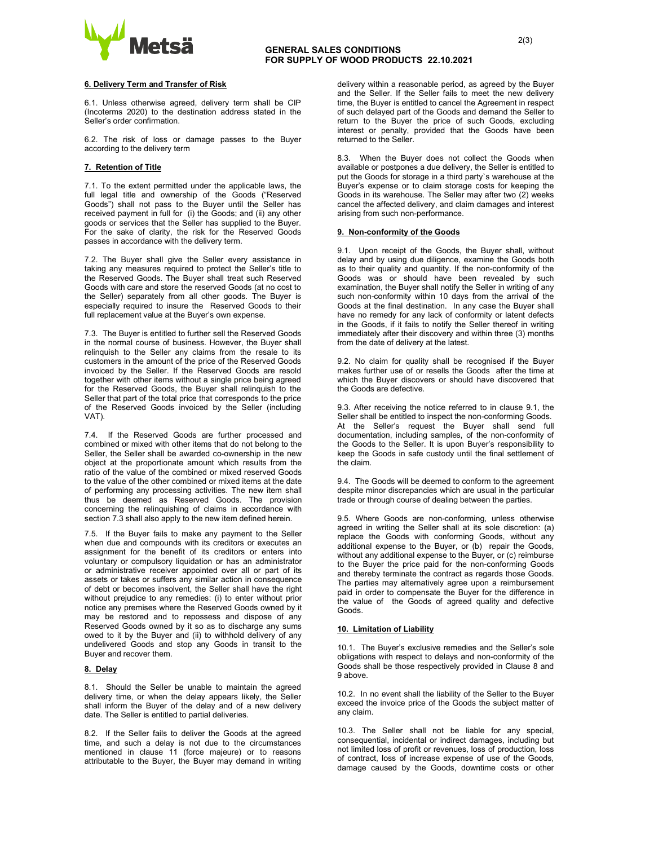

## **GENERAL SALES CONDITIONS**  $^{2(3)}$ GENERAL SALES CONDITIONS FOR SUPPLY OF WOOD PRODUCTS 22.10.2021

6.1. Unless otherwise agreed, delivery term shall be CIP (Incoterms 2020) to the destination address stated in the Seller's order confirmation.

6.2. The risk of loss or damage passes to the Buyer according to the delivery term

#### 7. Retention of Title

7.1. To the extent permitted under the applicable laws, the full legal title and ownership of the Goods ("Reserved Goods") shall not pass to the Buyer until the Seller has received payment in full for (i) the Goods; and (ii) any other goods or services that the Seller has supplied to the Buyer. For the sake of clarity, the risk for the Reserved Goods passes in accordance with the delivery term.

7.2. The Buyer shall give the Seller every assistance in taking any measures required to protect the Seller's title to the Reserved Goods. The Buyer shall treat such Reserved Goods with care and store the reserved Goods (at no cost to the Seller) separately from all other goods. The Buyer is especially required to insure the Reserved Goods to their full replacement value at the Buyer's own expense.

7.3. The Buyer is entitled to further sell the Reserved Goods in the normal course of business. However, the Buyer shall relinquish to the Seller any claims from the resale to its customers in the amount of the price of the Reserved Goods invoiced by the Seller. If the Reserved Goods are resold together with other items without a single price being agreed for the Reserved Goods, the Buyer shall relinquish to the Seller that part of the total price that corresponds to the price of the Reserved Goods invoiced by the Seller (including VAT).

7.4. If the Reserved Goods are further processed and combined or mixed with other items that do not belong to the Seller, the Seller shall be awarded co-ownership in the new object at the proportionate amount which results from the ratio of the value of the combined or mixed reserved Goods to the value of the other combined or mixed items at the date of performing any processing activities. The new item shall thus be deemed as Reserved Goods. The provision concerning the relinquishing of claims in accordance with section 7.3 shall also apply to the new item defined herein.

7.5. If the Buyer fails to make any payment to the Seller when due and compounds with its creditors or executes an assignment for the benefit of its creditors or enters into voluntary or compulsory liquidation or has an administrator or administrative receiver appointed over all or part of its assets or takes or suffers any similar action in consequence of debt or becomes insolvent, the Seller shall have the right without prejudice to any remedies: (i) to enter without prior notice any premises where the Reserved Goods owned by it may be restored and to repossess and dispose of any Reserved Goods owned by it so as to discharge any sums owed to it by the Buyer and (ii) to withhold delivery of any undelivered Goods and stop any Goods in transit to the Buyer and recover them.

### 8. Delay

8.1. Should the Seller be unable to maintain the agreed delivery time, or when the delay appears likely, the Seller shall inform the Buyer of the delay and of a new delivery date. The Seller is entitled to partial deliveries.

8.2. If the Seller fails to deliver the Goods at the agreed time, and such a delay is not due to the circumstances mentioned in clause 11 (force majeure) or to reasons attributable to the Buyer, the Buyer may demand in writing 8.3. When the Buyer does not collect the Goods when available or postpones a due delivery, the Seller is entitled to put the Goods for storage in a third party`s warehouse at the Buyer's expense or to claim storage costs for keeping the Goods in its warehouse. The Seller may after two (2) weeks cancel the affected delivery, and claim damages and interest arising from such non-performance.

#### 9. Non-conformity of the Goods

9.1. Upon receipt of the Goods, the Buyer shall, without delay and by using due diligence, examine the Goods both as to their quality and quantity. If the non-conformity of the Goods was or should have been revealed by such examination, the Buyer shall notify the Seller in writing of any such non-conformity within 10 days from the arrival of the Goods at the final destination. In any case the Buyer shall have no remedy for any lack of conformity or latent defects in the Goods, if it fails to notify the Seller thereof in writing immediately after their discovery and within three (3) months from the date of delivery at the latest.

9.2. No claim for quality shall be recognised if the Buyer makes further use of or resells the Goods after the time at which the Buyer discovers or should have discovered that the Goods are defective.

9.3. After receiving the notice referred to in clause 9.1, the Seller shall be entitled to inspect the non-conforming Goods. At the Seller's request the Buyer shall send full documentation, including samples, of the non-conformity of the Goods to the Seller. It is upon Buyer's responsibility to keep the Goods in safe custody until the final settlement of the claim.

9.4. The Goods will be deemed to conform to the agreement despite minor discrepancies which are usual in the particular trade or through course of dealing between the parties.

9.5. Where Goods are non-conforming, unless otherwise agreed in writing the Seller shall at its sole discretion: (a) replace the Goods with conforming Goods, without any additional expense to the Buyer, or (b) repair the Goods, without any additional expense to the Buyer, or (c) reimburse to the Buyer the price paid for the non-conforming Goods and thereby terminate the contract as regards those Goods. The parties may alternatively agree upon a reimbursement paid in order to compensate the Buyer for the difference in the value of the Goods of agreed quality and defective Goods.

## 10. Limitation of Liability

10.1. The Buyer's exclusive remedies and the Seller's sole obligations with respect to delays and non-conformity of the Goods shall be those respectively provided in Clause 8 and 9 above.

10.2. In no event shall the liability of the Seller to the Buyer exceed the invoice price of the Goods the subject matter of any claim.

10.3. The Seller shall not be liable for any special, consequential, incidental or indirect damages, including but not limited loss of profit or revenues, loss of production, loss of contract, loss of increase expense of use of the Goods, damage caused by the Goods, downtime costs or other